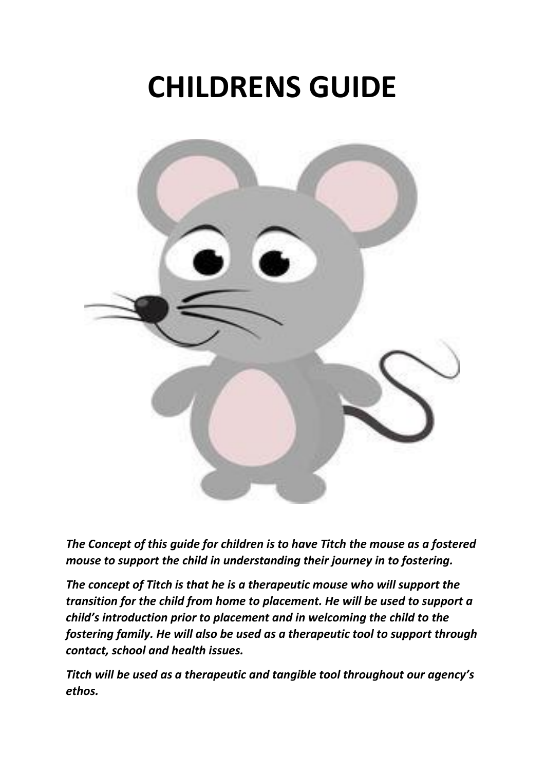# **CHILDRENS GUIDE**



*The Concept of this guide for children is to have Titch the mouse as a fostered mouse to support the child in understanding their journey in to fostering.*

*The concept of Titch is that he is a therapeutic mouse who will support the transition for the child from home to placement. He will be used to support a child's introduction prior to placement and in welcoming the child to the fostering family. He will also be used as a therapeutic tool to support through contact, school and health issues.*

*Titch will be used as a therapeutic and tangible tool throughout our agency's ethos.*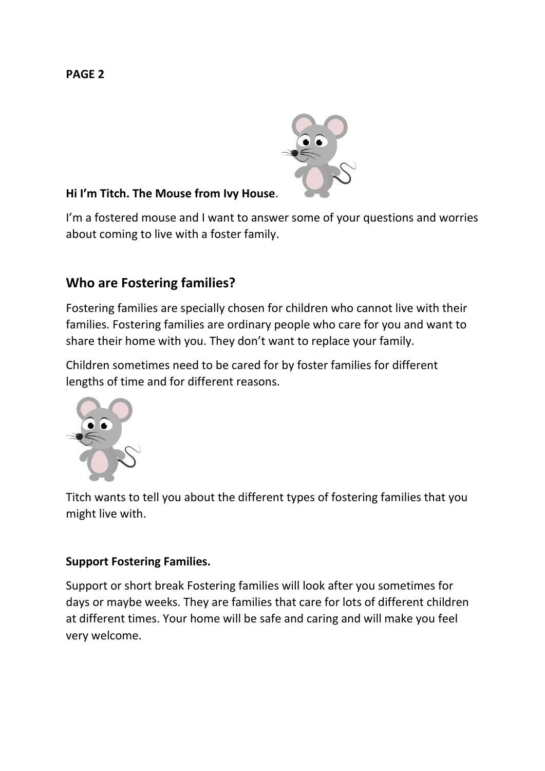

## **Hi I'm Titch. The Mouse from Ivy House**.

I'm a fostered mouse and I want to answer some of your questions and worries about coming to live with a foster family.

# **Who are Fostering families?**

Fostering families are specially chosen for children who cannot live with their families. Fostering families are ordinary people who care for you and want to share their home with you. They don't want to replace your family.

Children sometimes need to be cared for by foster families for different lengths of time and for different reasons.



Titch wants to tell you about the different types of fostering families that you might live with.

## **Support Fostering Families.**

Support or short break Fostering families will look after you sometimes for days or maybe weeks. They are families that care for lots of different children at different times. Your home will be safe and caring and will make you feel very welcome.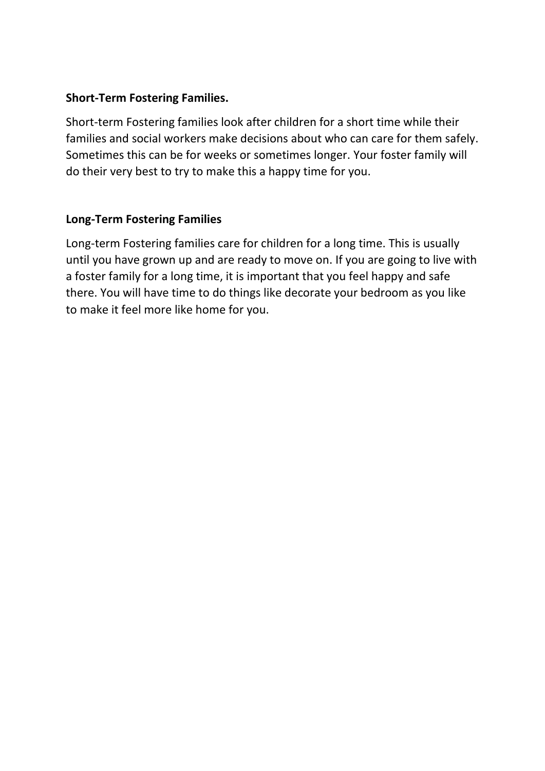## **Short-Term Fostering Families.**

Short-term Fostering families look after children for a short time while their families and social workers make decisions about who can care for them safely. Sometimes this can be for weeks or sometimes longer. Your foster family will do their very best to try to make this a happy time for you.

## **Long-Term Fostering Families**

Long-term Fostering families care for children for a long time. This is usually until you have grown up and are ready to move on. If you are going to live with a foster family for a long time, it is important that you feel happy and safe there. You will have time to do things like decorate your bedroom as you like to make it feel more like home for you.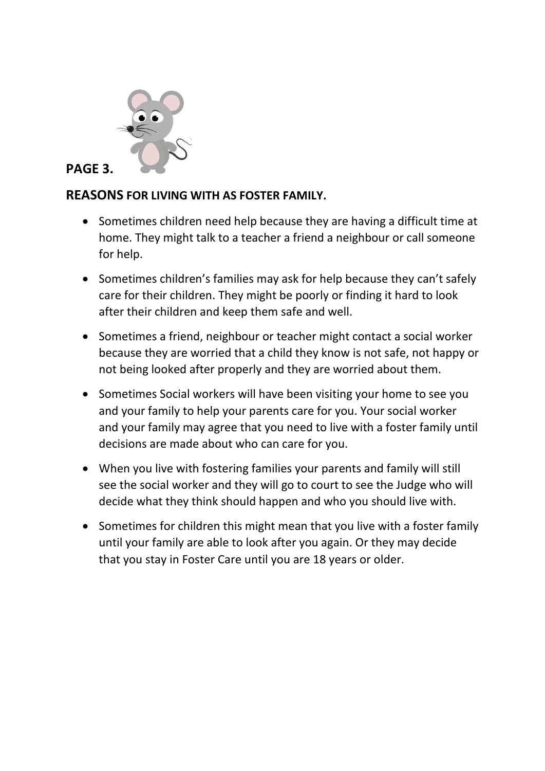

# **PAGE 3.**

# **REASONS FOR LIVING WITH AS FOSTER FAMILY.**

- Sometimes children need help because they are having a difficult time at home. They might talk to a teacher a friend a neighbour or call someone for help.
- Sometimes children's families may ask for help because they can't safely care for their children. They might be poorly or finding it hard to look after their children and keep them safe and well.
- Sometimes a friend, neighbour or teacher might contact a social worker because they are worried that a child they know is not safe, not happy or not being looked after properly and they are worried about them.
- Sometimes Social workers will have been visiting your home to see you and your family to help your parents care for you. Your social worker and your family may agree that you need to live with a foster family until decisions are made about who can care for you.
- When you live with fostering families your parents and family will still see the social worker and they will go to court to see the Judge who will decide what they think should happen and who you should live with.
- Sometimes for children this might mean that you live with a foster family until your family are able to look after you again. Or they may decide that you stay in Foster Care until you are 18 years or older.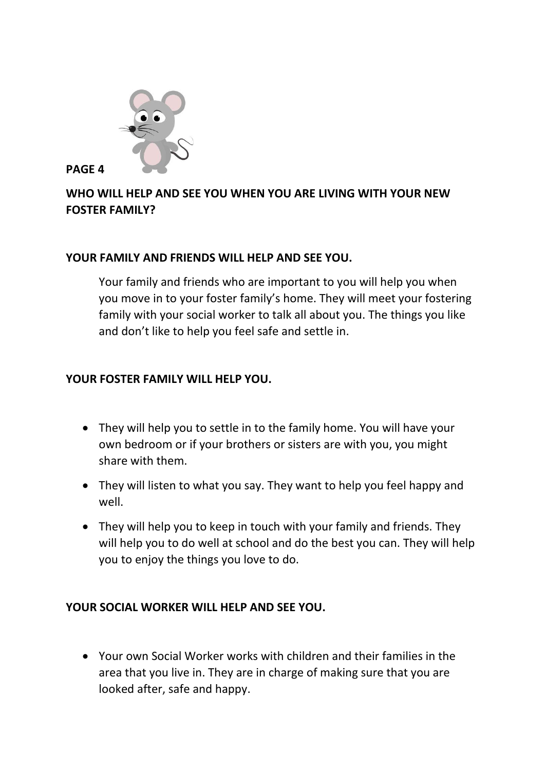

# **WHO WILL HELP AND SEE YOU WHEN YOU ARE LIVING WITH YOUR NEW FOSTER FAMILY?**

#### **YOUR FAMILY AND FRIENDS WILL HELP AND SEE YOU.**

Your family and friends who are important to you will help you when you move in to your foster family's home. They will meet your fostering family with your social worker to talk all about you. The things you like and don't like to help you feel safe and settle in.

## **YOUR FOSTER FAMILY WILL HELP YOU.**

- They will help you to settle in to the family home. You will have your own bedroom or if your brothers or sisters are with you, you might share with them.
- They will listen to what you say. They want to help you feel happy and well.
- They will help you to keep in touch with your family and friends. They will help you to do well at school and do the best you can. They will help you to enjoy the things you love to do.

## **YOUR SOCIAL WORKER WILL HELP AND SEE YOU.**

• Your own Social Worker works with children and their families in the area that you live in. They are in charge of making sure that you are looked after, safe and happy.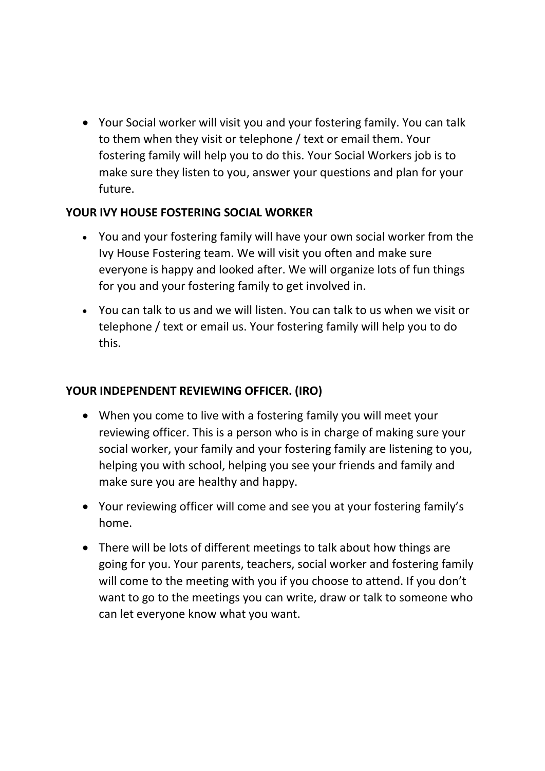• Your Social worker will visit you and your fostering family. You can talk to them when they visit or telephone / text or email them. Your fostering family will help you to do this. Your Social Workers job is to make sure they listen to you, answer your questions and plan for your future.

## **YOUR IVY HOUSE FOSTERING SOCIAL WORKER**

- You and your fostering family will have your own social worker from the Ivy House Fostering team. We will visit you often and make sure everyone is happy and looked after. We will organize lots of fun things for you and your fostering family to get involved in.
- You can talk to us and we will listen. You can talk to us when we visit or telephone / text or email us. Your fostering family will help you to do this.

## **YOUR INDEPENDENT REVIEWING OFFICER. (IRO)**

- When you come to live with a fostering family you will meet your reviewing officer. This is a person who is in charge of making sure your social worker, your family and your fostering family are listening to you, helping you with school, helping you see your friends and family and make sure you are healthy and happy.
- Your reviewing officer will come and see you at your fostering family's home.
- There will be lots of different meetings to talk about how things are going for you. Your parents, teachers, social worker and fostering family will come to the meeting with you if you choose to attend. If you don't want to go to the meetings you can write, draw or talk to someone who can let everyone know what you want.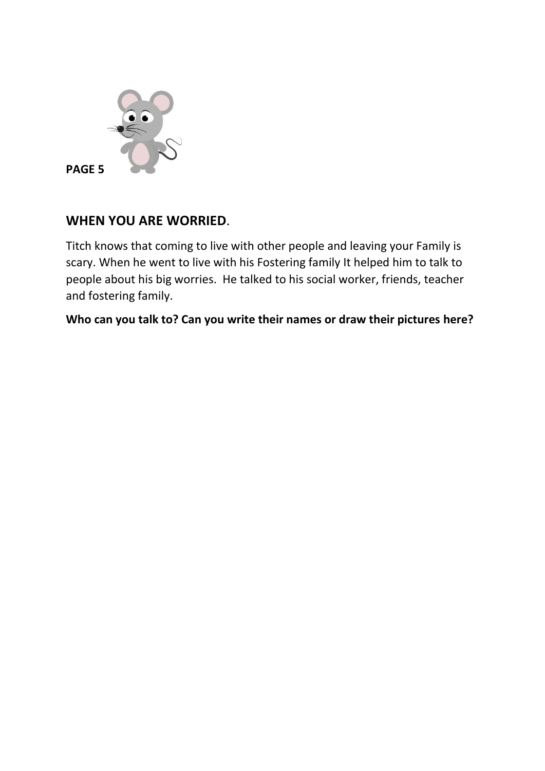

# **WHEN YOU ARE WORRIED**.

Titch knows that coming to live with other people and leaving your Family is scary. When he went to live with his Fostering family It helped him to talk to people about his big worries. He talked to his social worker, friends, teacher and fostering family.

**Who can you talk to? Can you write their names or draw their pictures here?**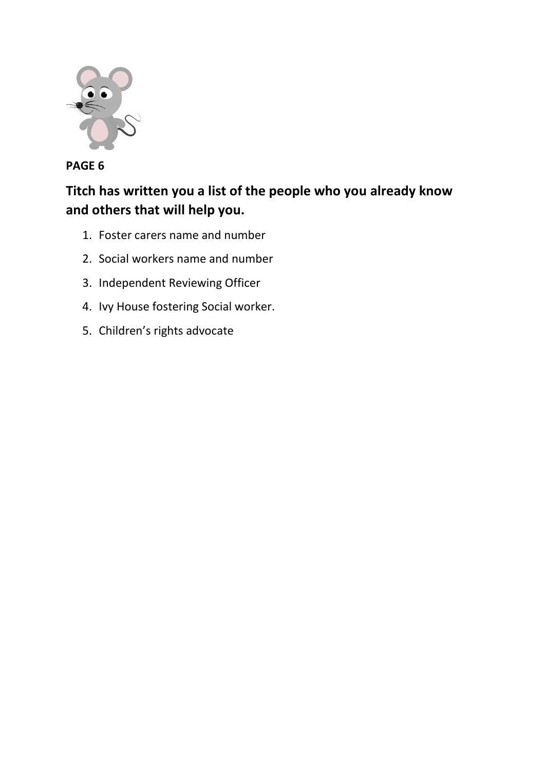

# **Titch has written you a list of the people who you already know and others that will help you.**

- 1. Foster carers name and number
- 2. Social workers name and number
- 3. Independent Reviewing Officer
- 4. Ivy House fostering Social worker.
- 5. Children's rights advocate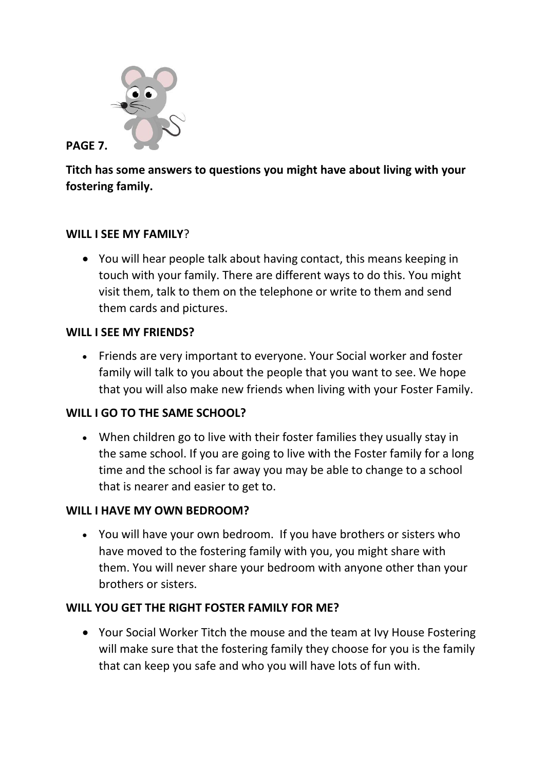

**PAGE 7.**

**Titch has some answers to questions you might have about living with your fostering family.**

## **WILL I SEE MY FAMILY**?

• You will hear people talk about having contact, this means keeping in touch with your family. There are different ways to do this. You might visit them, talk to them on the telephone or write to them and send them cards and pictures.

#### **WILL I SEE MY FRIENDS?**

• Friends are very important to everyone. Your Social worker and foster family will talk to you about the people that you want to see. We hope that you will also make new friends when living with your Foster Family.

## **WILL I GO TO THE SAME SCHOOL?**

• When children go to live with their foster families they usually stay in the same school. If you are going to live with the Foster family for a long time and the school is far away you may be able to change to a school that is nearer and easier to get to.

## **WILL I HAVE MY OWN BEDROOM?**

• You will have your own bedroom. If you have brothers or sisters who have moved to the fostering family with you, you might share with them. You will never share your bedroom with anyone other than your brothers or sisters.

## **WILL YOU GET THE RIGHT FOSTER FAMILY FOR ME?**

• Your Social Worker Titch the mouse and the team at Ivy House Fostering will make sure that the fostering family they choose for you is the family that can keep you safe and who you will have lots of fun with.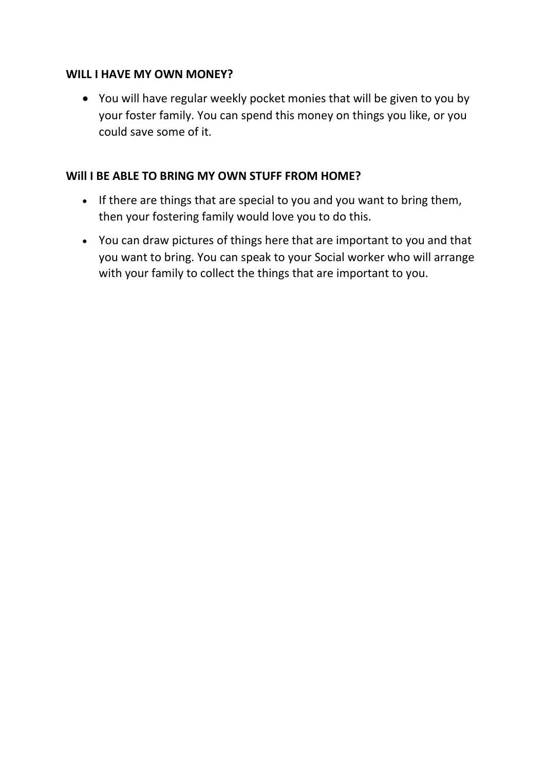#### **WILL I HAVE MY OWN MONEY?**

• You will have regular weekly pocket monies that will be given to you by your foster family. You can spend this money on things you like, or you could save some of it.

#### **Will I BE ABLE TO BRING MY OWN STUFF FROM HOME?**

- If there are things that are special to you and you want to bring them, then your fostering family would love you to do this.
- You can draw pictures of things here that are important to you and that you want to bring. You can speak to your Social worker who will arrange with your family to collect the things that are important to you.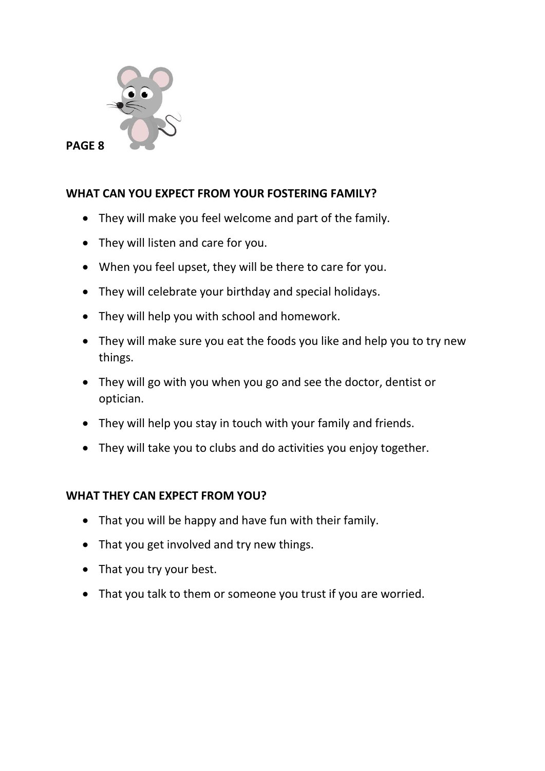

# **WHAT CAN YOU EXPECT FROM YOUR FOSTERING FAMILY?**

- They will make you feel welcome and part of the family.
- They will listen and care for you.
- When you feel upset, they will be there to care for you.
- They will celebrate your birthday and special holidays.
- They will help you with school and homework.
- They will make sure you eat the foods you like and help you to try new things.
- They will go with you when you go and see the doctor, dentist or optician.
- They will help you stay in touch with your family and friends.
- They will take you to clubs and do activities you enjoy together.

# **WHAT THEY CAN EXPECT FROM YOU?**

- That you will be happy and have fun with their family.
- That you get involved and try new things.
- That you try your best.
- That you talk to them or someone you trust if you are worried.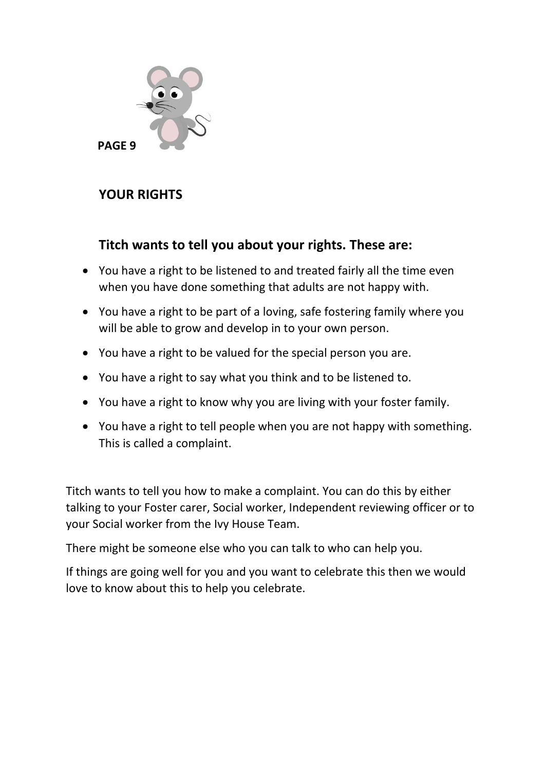

# **YOUR RIGHTS**

# **Titch wants to tell you about your rights. These are:**

- You have a right to be listened to and treated fairly all the time even when you have done something that adults are not happy with.
- You have a right to be part of a loving, safe fostering family where you will be able to grow and develop in to your own person.
- You have a right to be valued for the special person you are.
- You have a right to say what you think and to be listened to.
- You have a right to know why you are living with your foster family.
- You have a right to tell people when you are not happy with something. This is called a complaint.

Titch wants to tell you how to make a complaint. You can do this by either talking to your Foster carer, Social worker, Independent reviewing officer or to your Social worker from the Ivy House Team.

There might be someone else who you can talk to who can help you.

If things are going well for you and you want to celebrate this then we would love to know about this to help you celebrate.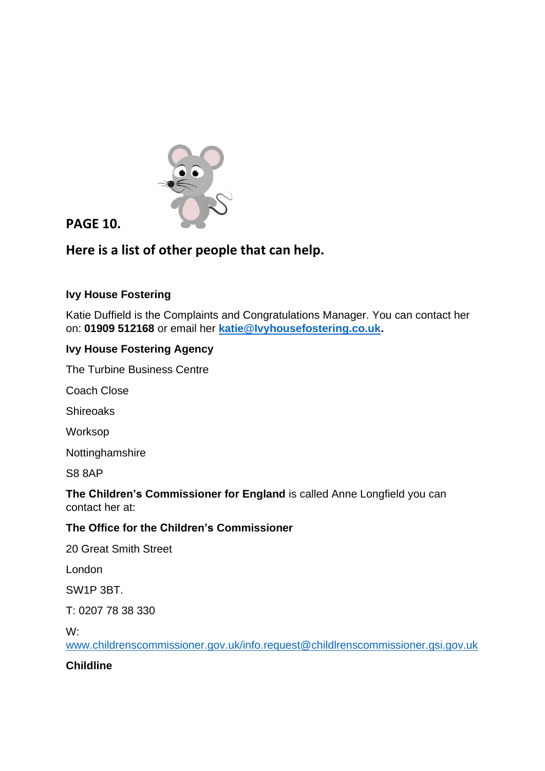

# **PAGE 10.**

# **Here is a list of other people that can help.**

#### **Ivy House Fostering**

Katie Duffield is the Complaints and Congratulations Manager. You can contact her on: **01909 512168** or email her **[katie@Ivyhousefostering.co.uk.](mailto:katie@Ivyhousefostering.co.uk)** 

#### **Ivy House Fostering Agency**

The Turbine Business Centre

Coach Close

**Shireoaks** 

Worksop

Nottinghamshire

S8 8AP

#### **The Children's Commissioner for England** is called Anne Longfield you can contact her at:

#### **The Office for the Children's Commissioner**

20 Great Smith Street

London

SW1P 3BT.

T: 0207 78 38 330

W:

[www.childrenscommissioner.gov.uk/info.request@childlrenscommissioner.gsi.gov.uk](http://www.childrenscommissioner.gov.uk/info.request@childlrenscommissioner.gsi.gov.uk)

#### **Childline**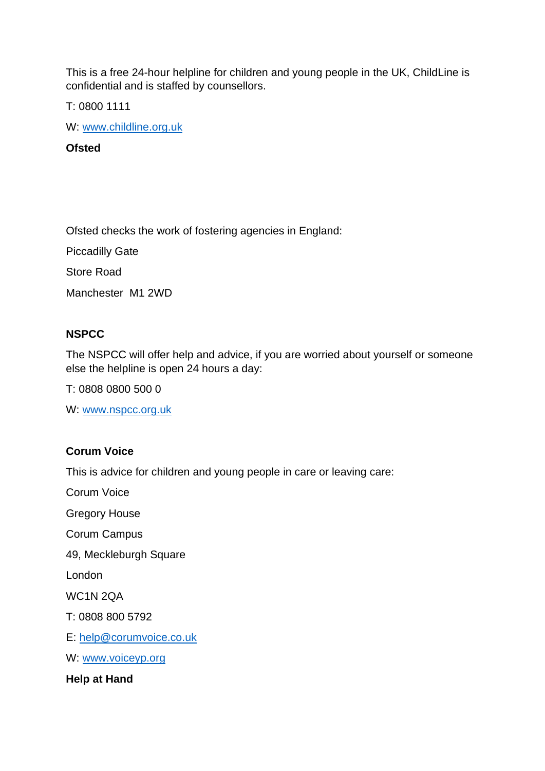This is a free 24-hour helpline for children and young people in the UK, ChildLine is confidential and is staffed by counsellors.

T: 0800 1111

W: [www.childline.org.uk](http://www.childline.org.uk/)

**Ofsted**

Ofsted checks the work of fostering agencies in England:

Piccadilly Gate

Store Road

Manchester M1 2WD

#### **NSPCC**

The NSPCC will offer help and advice, if you are worried about yourself or someone else the helpline is open 24 hours a day:

T: 0808 0800 500 0

W: [www.nspcc.org.uk](http://www.nspcc.org.uk/)

#### **Corum Voice**

This is advice for children and young people in care or leaving care:

Corum Voice

Gregory House

Corum Campus

49, Meckleburgh Square

London

WC1N 2QA

T: 0808 800 5792

E: [help@corumvoice.co.uk](mailto:help@corumvoice.co.uk)

W: [www.voiceyp.org](http://www.voiceyp.org/)

**Help at Hand**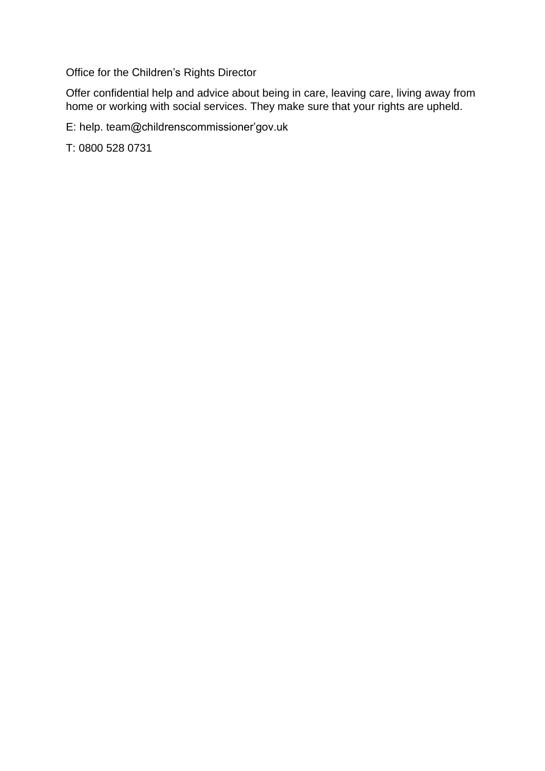Office for the Children's Rights Director

Offer confidential help and advice about being in care, leaving care, living away from home or working with social services. They make sure that your rights are upheld.

E: help. team@childrenscommissioner'gov.uk

T: 0800 528 0731